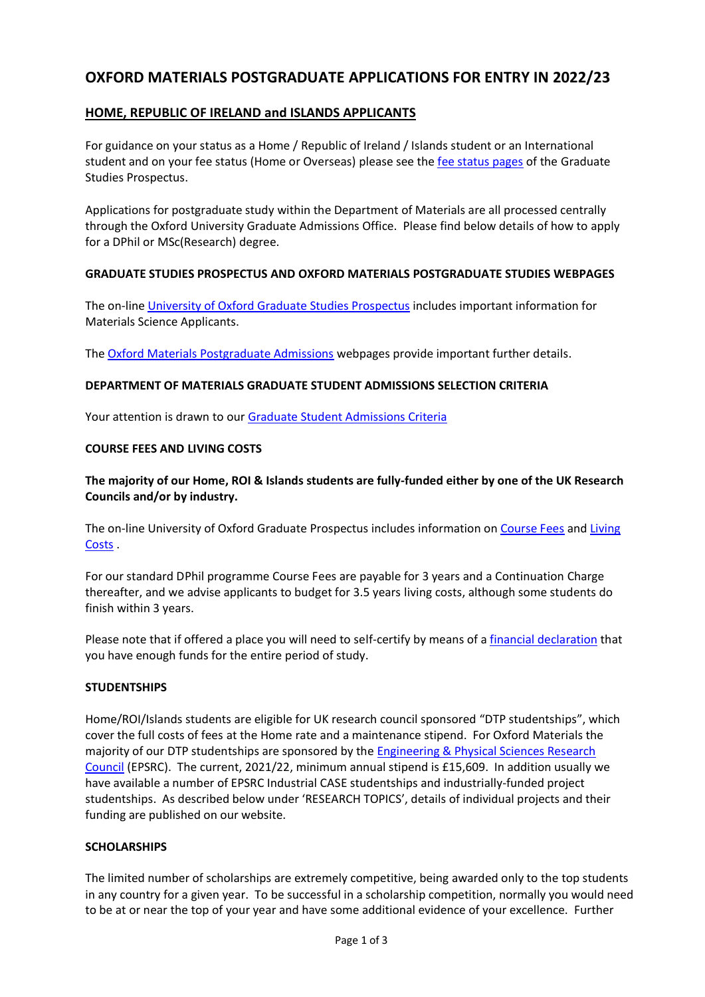# **OXFORD MATERIALS POSTGRADUATE APPLICATIONS FOR ENTRY IN 2022/23**

# **HOME, REPUBLIC OF IRELAND and ISLANDS APPLICANTS**

For guidance on your status as a Home / Republic of Ireland / Islands student or an International student and on your fee status (Home or Overseas) please see th[e fee status](https://www.ox.ac.uk/admissions/graduate/fees-and-funding/fees-and-other-charges/fees#content-tab--2) pages of the Graduate Studies Prospectus.

Applications for postgraduate study within the Department of Materials are all processed centrally through the Oxford University Graduate Admissions Office. Please find below details of how to apply for a DPhil or MSc(Research) degree.

## **GRADUATE STUDIES PROSPECTUS AND OXFORD MATERIALS POSTGRADUATE STUDIES WEBPAGES**

The on-line University of Oxford [Graduate Studies Prospectus](https://www.ox.ac.uk/admissions/graduate) includes important information for Materials Science Applicants.

The **Oxford Materials Postgraduate Admissions** webpages provide important further details.

## **DEPARTMENT OF MATERIALS GRADUATE STUDENT ADMISSIONS SELECTION CRITERIA**

Your attention is drawn to our [Graduate Student Admissions Criteria](https://www.materials.ox.ac.uk/admissions/postgraduate/admissionscriteria.html)

## **COURSE FEES AND LIVING COSTS**

**The majority of our Home, ROI & Islands students are fully-funded either by one of the UK Research Councils and/or by industry.**

The on-line University of Oxford Graduate Prospectus includes information o[n Course Fees](https://www.ox.ac.uk/students/fees-funding/fees/) and Living [Costs](https://www.ox.ac.uk/admissions/graduate/fees-and-funding/living-costs) .

For our standard DPhil programme Course Fees are payable for 3 years and a Continuation Charge thereafter, and we advise applicants to budget for 3.5 years living costs, although some students do finish within 3 years.

Please note that if offered a place you will need to self-certify by means of a [financial declaration](https://www.ox.ac.uk/admissions/graduate/fees-and-funding/financial-declaration/) that you have enough funds for the entire period of study.

### **STUDENTSHIPS**

Home/ROI/Islands students are eligible for UK research council sponsored "DTP studentships", which cover the full costs of fees at the Home rate and a maintenance stipend. For Oxford Materials the majority of our DTP studentships are sponsored by the Engineering & Physical Sciences Research [Council](https://epsrc.ukri.org/skills/students/) (EPSRC). The current, 2021/22, minimum annual stipend is £15,609. In addition usually we have available a number of EPSRC Industrial CASE studentships and industrially-funded project studentships. As described below under 'RESEARCH TOPICS', details of individual projects and their funding are published on our website.

### **SCHOLARSHIPS**

The limited number of scholarships are extremely competitive, being awarded only to the top students in any country for a given year. To be successful in a scholarship competition, normally you would need to be at or near the top of your year and have some additional evidence of your excellence. Further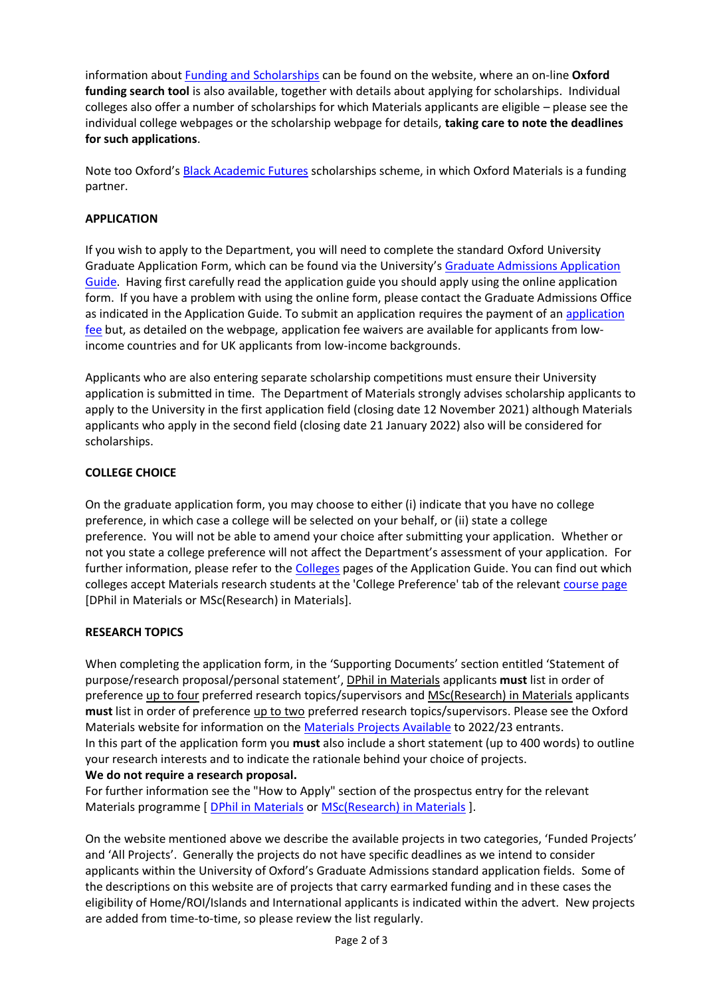information about [Funding and Scholarships](https://www.ox.ac.uk/admissions/graduate/fees-and-funding/oxford-funding) can be found on the website, where an on-line **Oxford funding search tool** is also available, together with details about applying for scholarships. Individual colleges also offer a number of scholarships for which Materials applicants are eligible – please see the individual college webpages or the scholarship webpage for details, **taking care to note the deadlines for such applications**.

Note too Oxford's [Black Academic Futures](https://www.ox.ac.uk/admissions/graduate/access/academic-futures#content-tab--2) scholarships scheme, in which Oxford Materials is a funding partner.

# **APPLICATION**

If you wish to apply to the Department, you will need to complete the standard Oxford University Graduate Application Form, which can be found via the University's [Graduate Admissions Application](https://www.ox.ac.uk/admissions/graduate/applying-to-oxford)  [Guide.](https://www.ox.ac.uk/admissions/graduate/applying-to-oxford) Having first carefully read the application guide you should apply using the online application form. If you have a problem with using the online form, please contact the Graduate Admissions Office as indicated in the Application Guide. To submit an application requires the payment of an [application](https://www.ox.ac.uk/admissions/graduate/applying-to-oxford/application-guide/declaration-and-payment#content-tab--2)  [fee](https://www.ox.ac.uk/admissions/graduate/applying-to-oxford/application-guide/declaration-and-payment#content-tab--2) but, as detailed on the webpage, application fee waivers are available for applicants from lowincome countries and for UK applicants from low-income backgrounds.

Applicants who are also entering separate scholarship competitions must ensure their University application is submitted in time. The Department of Materials strongly advises scholarship applicants to apply to the University in the first application field (closing date 12 November 2021) although Materials applicants who apply in the second field (closing date 21 January 2022) also will be considered for scholarships.

### **COLLEGE CHOICE**

On the graduate application form, you may choose to either (i) indicate that you have no college preference, in which case a college will be selected on your behalf, or (ii) state a college preference. You will not be able to amend your choice after submitting your application. Whether or not you state a college preference will not affect the Department's assessment of your application. For further information, please refer to the [Colleges](https://www.ox.ac.uk/admissions/graduate/colleges) pages of the Application Guide. You can find out which colleges accept Materials research students at the 'College Preference' tab of the relevant [course page](https://www.ox.ac.uk/admissions/graduate/courses/mpls/materials) [DPhil in Materials or MSc(Research) in Materials].

### **RESEARCH TOPICS**

When completing the application form, in the 'Supporting Documents' section entitled 'Statement of purpose/research proposal/personal statement', DPhil in Materials applicants **must** list in order of preference up to four preferred research topics/supervisors and MSc(Research) in Materials applicants **must** list in order of preference up to two preferred research topics/supervisors. Please see the Oxford Materials website for information on the [Materials Projects Available](https://www.materials.ox.ac.uk/admissions/postgraduate/newprojects.html) to 2022/23 entrants. In this part of the application form you **must** also include a short statement (up to 400 words) to outline your research interests and to indicate the rationale behind your choice of projects. **We do not require a research proposal.**

For further information see the "How to Apply" section of the prospectus entry for the relevant Materials programme [ [DPhil in Materials](https://www.ox.ac.uk/admissions/graduate/courses/dphil-materials) or [MSc\(Research\) in Materials](https://www.ox.ac.uk/admissions/graduate/courses/msc-research-materials) ].

On the website mentioned above we describe the available projects in two categories, 'Funded Projects' and 'All Projects'. Generally the projects do not have specific deadlines as we intend to consider applicants within the University of Oxford's Graduate Admissions standard application fields. Some of the descriptions on this website are of projects that carry earmarked funding and in these cases the eligibility of Home/ROI/Islands and International applicants is indicated within the advert. New projects are added from time-to-time, so please review the list regularly.